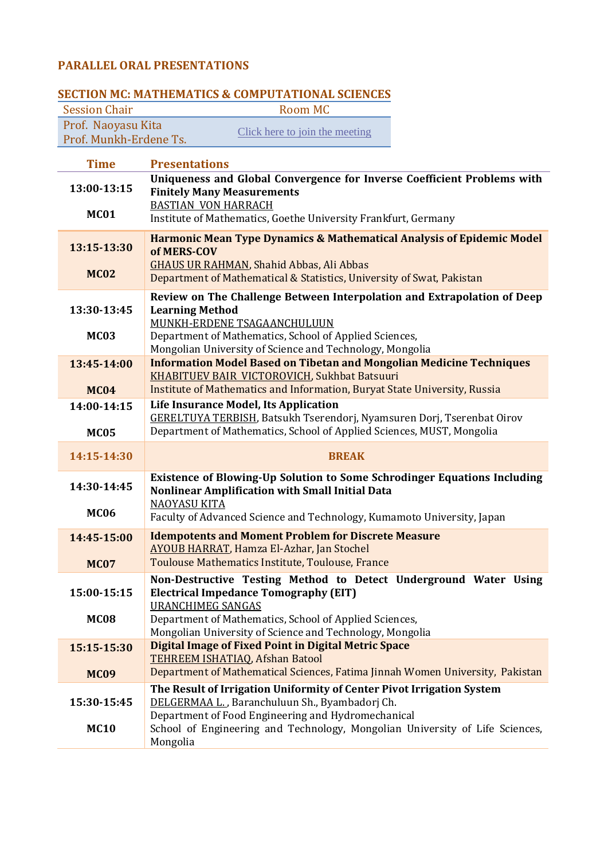## **PARALLEL ORAL PRESENTATIONS**

| <b>Session Chair</b>       | SECTION MC: MATHEMATICS & COMPUTATIONAL SCIENCES<br><b>Room MC</b>                                                                                                                                                          |
|----------------------------|-----------------------------------------------------------------------------------------------------------------------------------------------------------------------------------------------------------------------------|
| Prof. Naoyasu Kita         | Click here to join the meeting                                                                                                                                                                                              |
| Prof. Munkh-Erdene Ts.     |                                                                                                                                                                                                                             |
| <b>Time</b>                | <b>Presentations</b>                                                                                                                                                                                                        |
| 13:00-13:15<br><b>MC01</b> | Uniqueness and Global Convergence for Inverse Coefficient Problems with<br><b>Finitely Many Measurements</b><br><b>BASTIAN VON HARRACH</b>                                                                                  |
|                            | Institute of Mathematics, Goethe University Frankfurt, Germany                                                                                                                                                              |
| 13:15-13:30<br><b>MC02</b> | <b>Harmonic Mean Type Dynamics &amp; Mathematical Analysis of Epidemic Model</b><br>of MERS-COV<br><b>GHAUS UR RAHMAN, Shahid Abbas, Ali Abbas</b><br>Department of Mathematical & Statistics, University of Swat, Pakistan |
|                            | Review on The Challenge Between Interpolation and Extrapolation of Deep                                                                                                                                                     |
| 13:30-13:45                | <b>Learning Method</b>                                                                                                                                                                                                      |
|                            | MUNKH-ERDENE TSAGAANCHULUUN                                                                                                                                                                                                 |
| <b>MC03</b>                | Department of Mathematics, School of Applied Sciences,<br>Mongolian University of Science and Technology, Mongolia                                                                                                          |
| 13:45-14:00                | <b>Information Model Based on Tibetan and Mongolian Medicine Techniques</b>                                                                                                                                                 |
| <b>MC04</b>                | KHABITUEV BAIR VICTOROVICH, Sukhbat Batsuuri<br>Institute of Mathematics and Information, Buryat State University, Russia                                                                                                   |
| 14:00-14:15                | Life Insurance Model, Its Application                                                                                                                                                                                       |
| <b>MC05</b>                | <b>GERELTUYA TERBISH, Batsukh Tserendorj, Nyamsuren Dorj, Tserenbat Oirov</b><br>Department of Mathematics, School of Applied Sciences, MUST, Mongolia                                                                      |
| 14:15-14:30                | <b>BREAK</b>                                                                                                                                                                                                                |
| 14:30-14:45                | <b>Existence of Blowing-Up Solution to Some Schrodinger Equations Including</b><br><b>Nonlinear Amplification with Small Initial Data</b>                                                                                   |
| <b>MC06</b>                | <b>NAOYASU KITA</b><br>Faculty of Advanced Science and Technology, Kumamoto University, Japan                                                                                                                               |
| 14:45-15:00                | <b>Idempotents and Moment Problem for Discrete Measure</b><br><b>AYOUB HARRAT, Hamza El-Azhar, Jan Stochel</b>                                                                                                              |
| <b>MC07</b>                | Toulouse Mathematics Institute, Toulouse, France                                                                                                                                                                            |
|                            | Non-Destructive Testing Method to Detect Underground Water Using                                                                                                                                                            |
| 15:00-15:15                | <b>Electrical Impedance Tomography (EIT)</b>                                                                                                                                                                                |
| <b>MC08</b>                | <b>URANCHIMEG SANGAS</b><br>Department of Mathematics, School of Applied Sciences,                                                                                                                                          |
|                            | Mongolian University of Science and Technology, Mongolia                                                                                                                                                                    |
| 15:15-15:30                | <b>Digital Image of Fixed Point in Digital Metric Space</b><br>TEHREEM ISHATIAQ, Afshan Batool                                                                                                                              |
| <b>MC09</b>                | Department of Mathematical Sciences, Fatima Jinnah Women University, Pakistan                                                                                                                                               |
|                            | The Result of Irrigation Uniformity of Center Pivot Irrigation System                                                                                                                                                       |
| 15:30-15:45                | DELGERMAA L., Baranchuluun Sh., Byambadorj Ch.                                                                                                                                                                              |
| <b>MC10</b>                | Department of Food Engineering and Hydromechanical<br>School of Engineering and Technology, Mongolian University of Life Sciences,<br>Mongolia                                                                              |

## **SECTION MC: MATHEMATICS & COMPUTATIONAL SCIENCES**